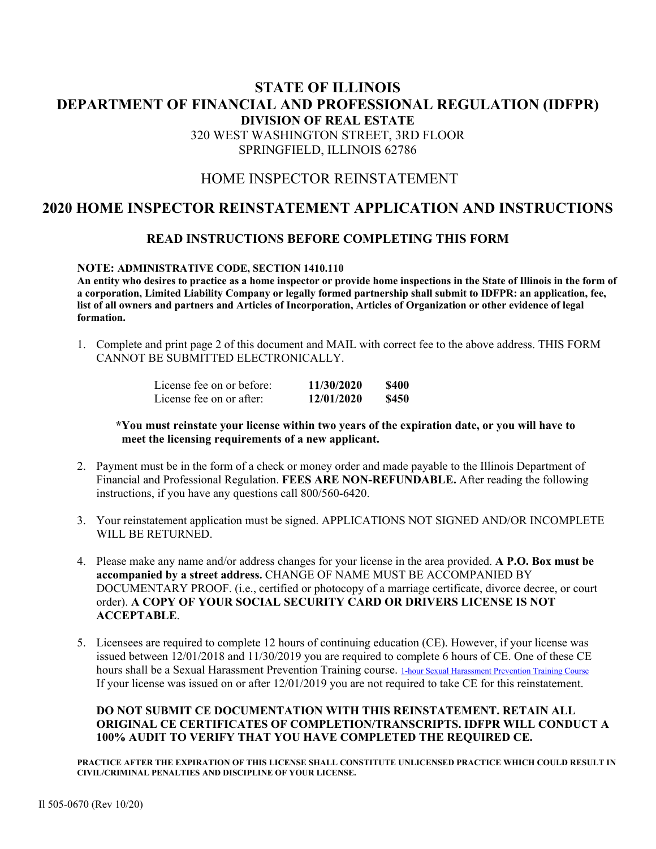## **STATE OF ILLINOIS DEPARTMENT OF FINANCIAL AND PROFESSIONAL REGULATION (IDFPR) DIVISION OF REAL ESTATE**  320 WEST WASHINGTON STREET, 3RD FLOOR SPRINGFIELD, ILLINOIS 62786

## HOME INSPECTOR REINSTATEMENT

## **2020 HOME INSPECTOR REINSTATEMENT APPLICATION AND INSTRUCTIONS**

### **READ INSTRUCTIONS BEFORE COMPLETING THIS FORM**

#### **NOTE: ADMINISTRATIVE CODE, SECTION 1410.110**

 **An entity who desires to practice as a home inspector or provide home inspections in the State of Illinois in the form of a corporation, Limited Liability Company or legally formed partnership shall submit to IDFPR: an application, fee, list of all owners and partners and Articles of Incorporation, Articles of Organization or other evidence of legal formation.** 

1. Complete and print page 2 of this document and MAIL with correct fee to the above address. THIS FORM CANNOT BE SUBMITTED ELECTRONICALLY.

| License fee on or before: | 11/30/2020 | \$400 |
|---------------------------|------------|-------|
| License fee on or after:  | 12/01/2020 | \$450 |

#### **\*You must reinstate your license within two years of the expiration date, or you will have to meet the licensing requirements of a new applicant.**

- 2. Payment must be in the form of a check or money order and made payable to the Illinois Department of Financial and Professional Regulation. **FEES ARE NON-REFUNDABLE.** After reading the following instructions, if you have any questions call 800/560-6420.
- 3. Your reinstatement application must be signed. APPLICATIONS NOT SIGNED AND/OR INCOMPLETE WILL BE RETURNED.
- 4. Please make any name and/or address changes for your license in the area provided. **A P.O. Box must be accompanied by a street address.** CHANGE OF NAME MUST BE ACCOMPANIED BY DOCUMENTARY PROOF. (i.e., certified or photocopy of a marriage certificate, divorce decree, or court order). **A COPY OF YOUR SOCIAL SECURITY CARD OR DRIVERS LICENSE IS NOT ACCEPTABLE**.
- 5. Licensees are required to complete 12 hours of continuing education (CE). However, if your license was issued between 12/01/2018 and 11/30/2019 you are required to complete 6 hours of CE. One of these CE hours shall be a Sexual Harassment Prevention Training course. 1-hour Sexual Harassment Prevention Training Course If your license was issued on or after 12/01/2019 you are not required to take CE for this reinstatement.

#### **DO NOT SUBMIT CE DOCUMENTATION WITH THIS REINSTATEMENT. RETAIN ALL ORIGINAL CE CERTIFICATES OF COMPLETION/TRANSCRIPTS. IDFPR WILL CONDUCT A 100% AUDIT TO VERIFY THAT YOU HAVE COMPLETED THE REQUIRED CE.**

**PRACTICE AFTER THE EXPIRATION OF THIS LICENSE SHALL CONSTITUTE UNLICENSED PRACTICE WHICH COULD RESULT IN CIVIL/CRIMINAL PENALTIES AND DISCIPLINE OF YOUR LICENSE.**